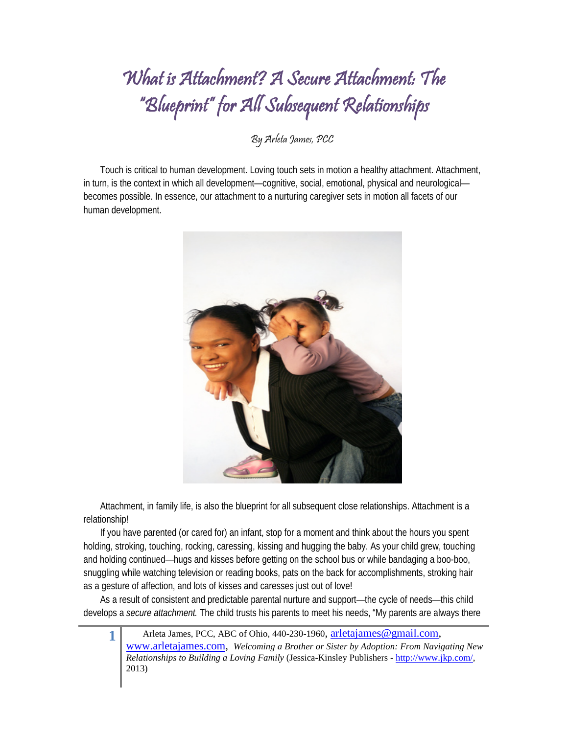## What is Attachment? A Secure Attachment: The "Blueprint" for All Subsequent Relationships

By Arleta James, PCC

Touch is critical to human development. Loving touch sets in motion a healthy attachment. Attachment, in turn, is the context in which all development—cognitive, social, emotional, physical and neurological becomes possible. In essence, our attachment to a nurturing caregiver sets in motion all facets of our human development.



Attachment, in family life, is also the blueprint for all subsequent close relationships. Attachment is a relationship!

If you have parented (or cared for) an infant, stop for a moment and think about the hours you spent holding, stroking, touching, rocking, caressing, kissing and hugging the baby. As your child grew, touching and holding continued—hugs and kisses before getting on the school bus or while bandaging a boo-boo, snuggling while watching television or reading books, pats on the back for accomplishments, stroking hair as a gesture of affection, and lots of kisses and caresses just out of love!

As a result of consistent and predictable parental nurture and support[—the cycle of needs—](http://www.attachmentdisorder.net/What_is_attachment_disorder.htm)this child develops a *secure attachment.* The child trusts his parents to meet his needs, "My parents are always there

1 Arleta James, PCC, ABC of Ohio, 440-230-1960, [arletajames@gmail.com,](mailto:arletajames@gmail.com) [www.arletajames.com,](http://www.arletajames.com/) *Welcoming a Brother or Sister by Adoption: From Navigating New Relationships to Building a Loving Family* (Jessica-Kinsley Publishers - [http://www.jkp.com/,](http://www.jkp.com/) 2013)